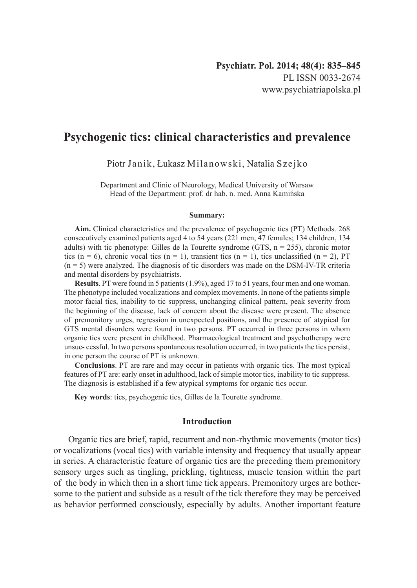# **Psychogenic tics: clinical characteristics and prevalence**

Piotr Janik, Łukasz Milanowski, Natalia Szejko

Department and Clinic of Neurology, Medical University of Warsaw Head of the Department: prof. dr hab. n. med. Anna Kamińska

#### **Summary:**

**Aim.** Clinical characteristics and the prevalence of psychogenic tics (PT) Methods. 268 consecutively examined patients aged 4 to 54 years (221 men, 47 females; 134 children, 134 adults) with tic phenotype: Gilles de la Tourette syndrome (GTS,  $n = 255$ ), chronic motor tics (n = 6), chronic vocal tics (n = 1), transient tics (n = 1), tics unclassified (n = 2), PT  $(n = 5)$  were analyzed. The diagnosis of tic disorders was made on the DSM-IV-TR criteria and mental disorders by psychiatrists.

**Results**. PT were found in 5 patients (1.9%), aged 17 to 51 years, four men and one woman. The phenotype included vocalizations and complex movements. In none of the patients simple motor facial tics, inability to tic suppress, unchanging clinical pattern, peak severity from the beginning of the disease, lack of concern about the disease were present. The absence of premonitory urges, regression in unexpected positions, and the presence of atypical for GTS mental disorders were found in two persons. PT occurred in three persons in whom organic tics were present in childhood. Pharmacological treatment and psychotherapy were unsuc- cessful. In two persons spontaneous resolution occurred, in two patients the tics persist, in one person the course of PT is unknown.

**Conclusions**. PT are rare and may occur in patients with organic tics. The most typical features of PT are: early onset in adulthood, lack of simple motor tics, inability to tic suppress. The diagnosis is established if a few atypical symptoms for organic tics occur.

**Key words**: tics, psychogenic tics, Gilles de la Tourette syndrome.

## **Introduction**

Organic tics are brief, rapid, recurrent and non-rhythmic movements (motor tics) or vocalizations (vocal tics) with variable intensity and frequency that usually appear in series. A characteristic feature of organic tics are the preceding them premonitory sensory urges such as tingling, prickling, tightness, muscle tension within the part of the body in which then in a short time tick appears. Premonitory urges are bothersome to the patient and subside as a result of the tick therefore they may be perceived as behavior performed consciously, especially by adults. Another important feature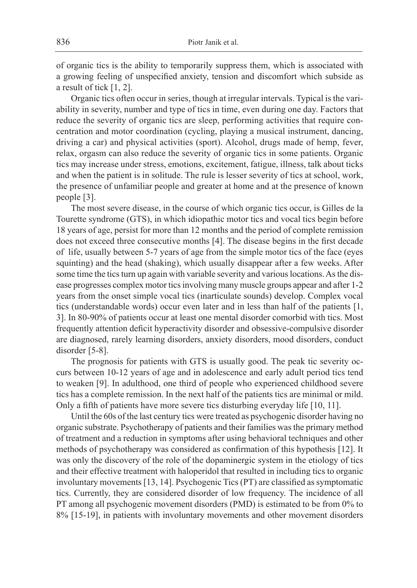of organic tics is the ability to temporarily suppress them, which is associated with a growing feeling of unspecified anxiety, tension and discomfort which subside as a result of tick [1, 2].

Organic tics often occur in series, though at irregular intervals. Typical is the variability in severity, number and type of tics in time, even during one day. Factors that reduce the severity of organic tics are sleep, performing activities that require concentration and motor coordination (cycling, playing a musical instrument, dancing, driving a car) and physical activities (sport). Alcohol, drugs made of hemp, fever, relax, orgasm can also reduce the severity of organic tics in some patients. Organic tics may increase under stress, emotions, excitement, fatigue, illness, talk about ticks and when the patient is in solitude. The rule is lesser severity of tics at school, work, the presence of unfamiliar people and greater at home and at the presence of known people [3].

The most severe disease, in the course of which organic tics occur, is Gilles de la Tourette syndrome (GTS), in which idiopathic motor tics and vocal tics begin before 18 years of age, persist for more than 12 months and the period of complete remission does not exceed three consecutive months [4]. The disease begins in the first decade of life, usually between 5-7 years of age from the simple motor tics of the face (eyes squinting) and the head (shaking), which usually disappear after a few weeks. After some time the tics turn up again with variable severity and various locations. As the disease progresses complex motor tics involving many muscle groups appear and after 1-2 years from the onset simple vocal tics (inarticulate sounds) develop. Complex vocal tics (understandable words) occur even later and in less than half of the patients [1, 3]. In 80-90% of patients occur at least one mental disorder comorbid with tics. Most frequently attention deficit hyperactivity disorder and obsessive-compulsive disorder are diagnosed, rarely learning disorders, anxiety disorders, mood disorders, conduct disorder [5-8].

The prognosis for patients with GTS is usually good. The peak tic severity occurs between 10-12 years of age and in adolescence and early adult period tics tend to weaken [9]. In adulthood, one third of people who experienced childhood severe tics has a complete remission. In the next half of the patients tics are minimal or mild. Only a fifth of patients have more severe tics disturbing everyday life [10, 11].

Until the 60s of the last century tics were treated as psychogenic disorder having no organic substrate. Psychotherapy of patients and their families was the primary method of treatment and a reduction in symptoms after using behavioral techniques and other methods of psychotherapy was considered as confirmation of this hypothesis [12]. It was only the discovery of the role of the dopaminergic system in the etiology of tics and their effective treatment with haloperidol that resulted in including tics to organic involuntary movements [13, 14]. Psychogenic Tics (PT) are classified as symptomatic tics. Currently, they are considered disorder of low frequency. The incidence of all PT among all psychogenic movement disorders (PMD) is estimated to be from 0% to 8% [15-19], in patients with involuntary movements and other movement disorders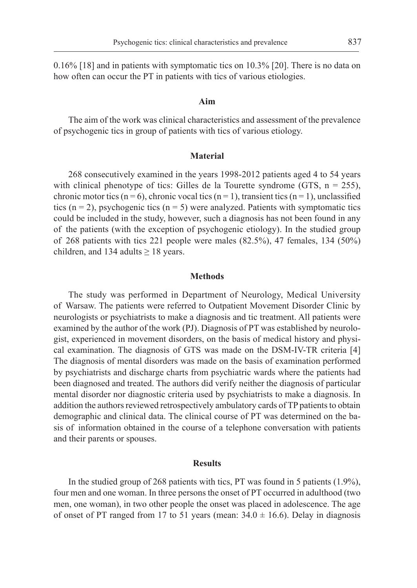0.16% [18] and in patients with symptomatic tics on 10.3% [20]. There is no data on how often can occur the PT in patients with tics of various etiologies.

#### **Aim**

The aim of the work was clinical characteristics and assessment of the prevalence of psychogenic tics in group of patients with tics of various etiology.

#### **Material**

268 consecutively examined in the years 1998-2012 patients aged 4 to 54 years with clinical phenotype of tics: Gilles de la Tourette syndrome (GTS,  $n = 255$ ), chronic motor tics (n = 6), chronic vocal tics (n = 1), transient tics (n = 1), unclassified tics ( $n = 2$ ), psychogenic tics ( $n = 5$ ) were analyzed. Patients with symptomatic tics could be included in the study, however, such a diagnosis has not been found in any of the patients (with the exception of psychogenic etiology). In the studied group of 268 patients with tics 221 people were males (82.5%), 47 females, 134 (50%) children, and 134 adults  $\geq$  18 years.

#### **Methods**

The study was performed in Department of Neurology, Medical University of Warsaw. The patients were referred to Outpatient Movement Disorder Clinic by neurologists or psychiatrists to make a diagnosis and tic treatment. All patients were examined by the author of the work (PJ). Diagnosis of PT was established by neurologist, experienced in movement disorders, on the basis of medical history and physical examination. The diagnosis of GTS was made on the DSM-IV-TR criteria [4] The diagnosis of mental disorders was made on the basis of examination performed by psychiatrists and discharge charts from psychiatric wards where the patients had been diagnosed and treated. The authors did verify neither the diagnosis of particular mental disorder nor diagnostic criteria used by psychiatrists to make a diagnosis. In addition the authors reviewed retrospectively ambulatory cards of TP patients to obtain demographic and clinical data. The clinical course of PT was determined on the basis of information obtained in the course of a telephone conversation with patients and their parents or spouses.

### **Results**

In the studied group of 268 patients with tics, PT was found in 5 patients (1.9%), four men and one woman. In three persons the onset of PT occurred in adulthood (two men, one woman), in two other people the onset was placed in adolescence. The age of onset of PT ranged from 17 to 51 years (mean:  $34.0 \pm 16.6$ ). Delay in diagnosis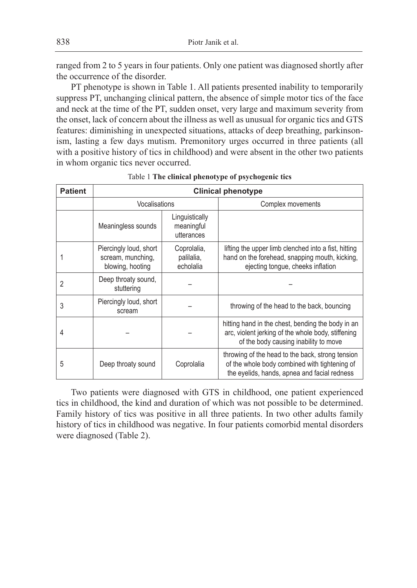ranged from 2 to 5 years in four patients. Only one patient was diagnosed shortly after the occurrence of the disorder.

PT phenotype is shown in Table 1. All patients presented inability to temporarily suppress PT, unchanging clinical pattern, the absence of simple motor tics of the face and neck at the time of the PT, sudden onset, very large and maximum severity from the onset, lack of concern about the illness as well as unusual for organic tics and GTS features: diminishing in unexpected situations, attacks of deep breathing, parkinsonism, lasting a few days mutism. Premonitory urges occurred in three patients (all with a positive history of tics in childhood) and were absent in the other two patients in whom organic tics never occurred.

| <b>Patient</b> | <b>Clinical phenotype</b>                                       |                                            |                                                                                                                                                   |  |  |  |  |  |  |
|----------------|-----------------------------------------------------------------|--------------------------------------------|---------------------------------------------------------------------------------------------------------------------------------------------------|--|--|--|--|--|--|
|                | Vocalisations                                                   |                                            | Complex movements                                                                                                                                 |  |  |  |  |  |  |
|                | Meaningless sounds                                              | Linguistically<br>meaningful<br>utterances |                                                                                                                                                   |  |  |  |  |  |  |
|                | Piercingly loud, short<br>scream, munching,<br>blowing, hooting | Coprolalia,<br>palilalia,<br>echolalia     | lifting the upper limb clenched into a fist, hitting<br>hand on the forehead, snapping mouth, kicking,<br>ejecting tongue, cheeks inflation       |  |  |  |  |  |  |
| $\overline{2}$ | Deep throaty sound,<br>stuttering                               |                                            |                                                                                                                                                   |  |  |  |  |  |  |
| 3              | Piercingly loud, short<br>scream                                |                                            | throwing of the head to the back, bouncing                                                                                                        |  |  |  |  |  |  |
| 4              |                                                                 |                                            | hitting hand in the chest, bending the body in an<br>arc, violent jerking of the whole body, stiffening<br>of the body causing inability to move  |  |  |  |  |  |  |
| 5              | Deep throaty sound                                              | Coprolalia                                 | throwing of the head to the back, strong tension<br>of the whole body combined with tightening of<br>the evelids, hands, apnea and facial redness |  |  |  |  |  |  |

Table 1 **The clinical phenotype of psychogenic tics**

Two patients were diagnosed with GTS in childhood, one patient experienced tics in childhood, the kind and duration of which was not possible to be determined. Family history of tics was positive in all three patients. In two other adults family history of tics in childhood was negative. In four patients comorbid mental disorders were diagnosed (Table 2).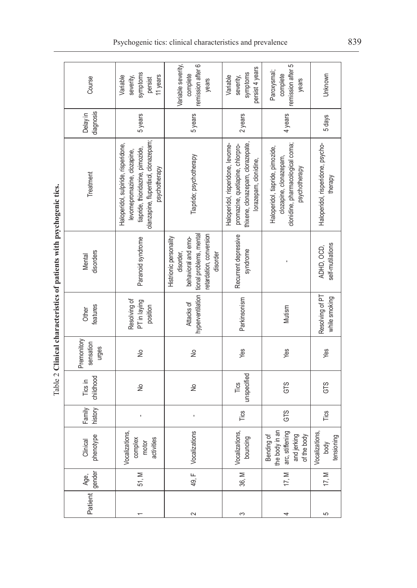|  | Course                            | symptoms<br>11 years<br>Variable<br>severity,<br>persist                                                                                                         | Variable severity,<br>remission after 6<br>complete<br>years                                                                 | persist 4 years<br>symptoms<br>Variable<br>severity,                                                                                | remission after 5<br>Paroxysmal;<br>complete<br>years                                                           | Unknown                                      |
|--|-----------------------------------|------------------------------------------------------------------------------------------------------------------------------------------------------------------|------------------------------------------------------------------------------------------------------------------------------|-------------------------------------------------------------------------------------------------------------------------------------|-----------------------------------------------------------------------------------------------------------------|----------------------------------------------|
|  | diagnosis<br>Delay in             | 5 years                                                                                                                                                          | 5 years                                                                                                                      | 2 years                                                                                                                             | 4 years                                                                                                         | 5 days                                       |
|  | Treatment                         | olanzapine, flupentixol, donazepam;<br>Haloperidol, sulpiride, risperidone,<br>tiapride, thioridazine, pimozide,<br>levomepromazine, clozapine,<br>psychotherapy | Tiapride; psychotherapy                                                                                                      | thixene, clonazepam, clorazepate,<br>Haloperidol, risperidone, levome-<br>promazine, quetiapine, chlorpro-<br>lorazepam, clonidine, | clonidine, pharmacological coma;<br>Haloperidol, tiapride, pimozide,<br>clozapine, clonazepam,<br>psychotherapy | Haloperidol, risperidone, psycho-<br>therapy |
|  | disorders<br>Mental               | Paranoid syndrome                                                                                                                                                | retardation, conversion<br>tional problems, mental<br>Histrionic personality<br>behavioral and emo-<br>disorder,<br>disorder | Recurrent depressive<br>syndrome                                                                                                    |                                                                                                                 | self-mutilations<br>ADHD, OCD,               |
|  | features<br>Other                 | Resolving of<br>PT in laying<br>position                                                                                                                         | hyperventilation<br>Attacks of                                                                                               | Parkinsonism                                                                                                                        | Mutism                                                                                                          | Resolving of PT<br>while smoking             |
|  | Premonitory<br>sensation<br>urges | $\frac{1}{2}$                                                                                                                                                    | $\frac{1}{2}$                                                                                                                | Yes                                                                                                                                 | Yes                                                                                                             | Yes                                          |
|  | childhood<br>Tics in              | ş                                                                                                                                                                | ş                                                                                                                            | unspecified<br>Tics                                                                                                                 | GTS                                                                                                             | GTS                                          |
|  | Family<br>history                 |                                                                                                                                                                  |                                                                                                                              | Tics                                                                                                                                | GTS                                                                                                             | Tics                                         |
|  | Clinical<br>phenotype             | Vocalizations,<br>activities<br>complex<br>motor                                                                                                                 | Vocalizations                                                                                                                | Vocalizations,<br>bouncing                                                                                                          | the body in an<br>arc, stiffening<br>and jerking<br>of the body<br>Bending of                                   | Vocalizations,<br>tensioning<br>body         |
|  | gender<br>Age,                    | 51, M                                                                                                                                                            | 49, F                                                                                                                        | 36, M                                                                                                                               | 17, M                                                                                                           | 17, $M$                                      |
|  | Patient                           |                                                                                                                                                                  | 2                                                                                                                            | S                                                                                                                                   | 4                                                                                                               | 5                                            |

Table 2 Clinical characteristics of patients with psychogenic tics. Table 2 **Clinical characteristics of patients with psychogenic tics.**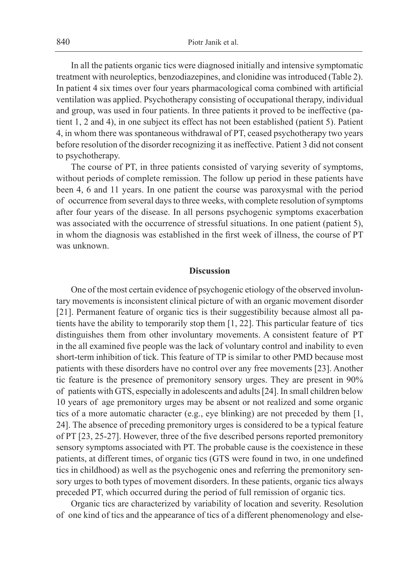In all the patients organic tics were diagnosed initially and intensive symptomatic treatment with neuroleptics, benzodiazepines, and clonidine was introduced (Table 2). In patient 4 six times over four years pharmacological coma combined with artificial ventilation was applied. Psychotherapy consisting of occupational therapy, individual and group, was used in four patients. In three patients it proved to be ineffective (patient 1, 2 and 4), in one subject its effect has not been established (patient 5). Patient 4, in whom there was spontaneous withdrawal of PT, ceased psychotherapy two years before resolution of the disorder recognizing it as ineffective. Patient 3 did not consent to psychotherapy.

The course of PT, in three patients consisted of varying severity of symptoms, without periods of complete remission. The follow up period in these patients have been 4, 6 and 11 years. In one patient the course was paroxysmal with the period of occurrence from several days to three weeks, with complete resolution of symptoms after four years of the disease. In all persons psychogenic symptoms exacerbation was associated with the occurrence of stressful situations. In one patient (patient 5), in whom the diagnosis was established in the first week of illness, the course of PT was unknown.

### **Discussion**

One of the most certain evidence of psychogenic etiology of the observed involuntary movements is inconsistent clinical picture of with an organic movement disorder [21]. Permanent feature of organic tics is their suggestibility because almost all patients have the ability to temporarily stop them [1, 22]. This particular feature of tics distinguishes them from other involuntary movements. A consistent feature of PT in the all examined five people was the lack of voluntary control and inability to even short-term inhibition of tick. This feature of TP is similar to other PMD because most patients with these disorders have no control over any free movements [23]. Another tic feature is the presence of premonitory sensory urges. They are present in 90% of patients with GTS, especially in adolescents and adults [24]. In small children below 10 years of age premonitory urges may be absent or not realized and some organic tics of a more automatic character (e.g., eye blinking) are not preceded by them [1, 24]. The absence of preceding premonitory urges is considered to be a typical feature of PT [23, 25-27]. However, three of the five described persons reported premonitory sensory symptoms associated with PT. The probable cause is the coexistence in these patients, at different times, of organic tics (GTS were found in two, in one undefined tics in childhood) as well as the psychogenic ones and referring the premonitory sensory urges to both types of movement disorders. In these patients, organic tics always preceded PT, which occurred during the period of full remission of organic tics.

Organic tics are characterized by variability of location and severity. Resolution of one kind of tics and the appearance of tics of a different phenomenology and else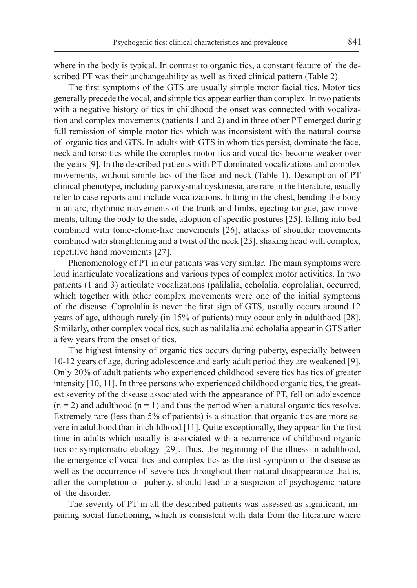where in the body is typical. In contrast to organic tics, a constant feature of the described PT was their unchangeability as well as fixed clinical pattern (Table 2).

The first symptoms of the GTS are usually simple motor facial tics. Motor tics generally precede the vocal, and simple tics appear earlier than complex. In two patients with a negative history of tics in childhood the onset was connected with vocalization and complex movements (patients 1 and 2) and in three other PT emerged during full remission of simple motor tics which was inconsistent with the natural course of organic tics and GTS. In adults with GTS in whom tics persist, dominate the face, neck and torso tics while the complex motor tics and vocal tics become weaker over the years [9]. In the described patients with PT dominated vocalizations and complex movements, without simple tics of the face and neck (Table 1). Description of PT clinical phenotype, including paroxysmal dyskinesia, are rare in the literature, usually refer to case reports and include vocalizations, hitting in the chest, bending the body in an arc, rhythmic movements of the trunk and limbs, ejecting tongue, jaw movements, tilting the body to the side, adoption of specific postures [25], falling into bed combined with tonic-clonic-like movements [26], attacks of shoulder movements combined with straightening and a twist of the neck [23], shaking head with complex, repetitive hand movements [27].

Phenomenology of PT in our patients was very similar. The main symptoms were loud inarticulate vocalizations and various types of complex motor activities. In two patients (1 and 3) articulate vocalizations (palilalia, echolalia, coprolalia), occurred, which together with other complex movements were one of the initial symptoms of the disease. Coprolalia is never the first sign of GTS, usually occurs around 12 years of age, although rarely (in 15% of patients) may occur only in adulthood [28]. Similarly, other complex vocal tics, such as palilalia and echolalia appear in GTS after a few years from the onset of tics.

The highest intensity of organic tics occurs during puberty, especially between 10-12 years of age, during adolescence and early adult period they are weakened [9]. Only 20% of adult patients who experienced childhood severe tics has tics of greater intensity [10, 11]. In three persons who experienced childhood organic tics, the greatest severity of the disease associated with the appearance of PT, fell on adolescence  $(n = 2)$  and adulthood  $(n = 1)$  and thus the period when a natural organic tics resolve. Extremely rare (less than 5% of patients) is a situation that organic tics are more severe in adulthood than in childhood [11]. Quite exceptionally, they appear for the first time in adults which usually is associated with a recurrence of childhood organic tics or symptomatic etiology [29]. Thus, the beginning of the illness in adulthood, the emergence of vocal tics and complex tics as the first symptom of the disease as well as the occurrence of severe tics throughout their natural disappearance that is, after the completion of puberty, should lead to a suspicion of psychogenic nature of the disorder.

The severity of PT in all the described patients was assessed as significant, impairing social functioning, which is consistent with data from the literature where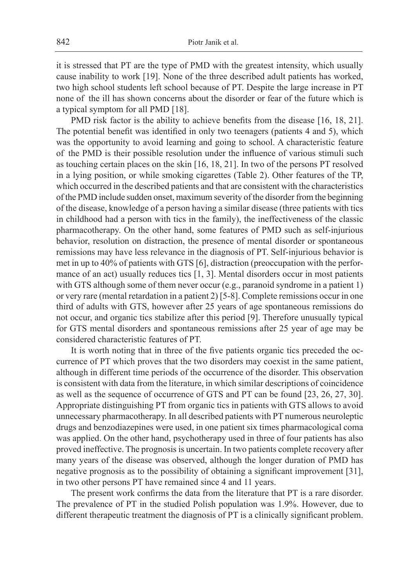it is stressed that PT are the type of PMD with the greatest intensity, which usually cause inability to work [19]. None of the three described adult patients has worked, two high school students left school because of PT. Despite the large increase in PT none of the ill has shown concerns about the disorder or fear of the future which is a typical symptom for all PMD [18].

PMD risk factor is the ability to achieve benefits from the disease [16, 18, 21]. The potential benefit was identified in only two teenagers (patients 4 and 5), which was the opportunity to avoid learning and going to school. A characteristic feature of the PMD is their possible resolution under the influence of various stimuli such as touching certain places on the skin [16, 18, 21]. In two of the persons PT resolved in a lying position, or while smoking cigarettes (Table 2). Other features of the TP, which occurred in the described patients and that are consistent with the characteristics of the PMD include sudden onset, maximum severity of the disorder from the beginning of the disease, knowledge of a person having a similar disease (three patients with tics in childhood had a person with tics in the family), the ineffectiveness of the classic pharmacotherapy. On the other hand, some features of PMD such as self-injurious behavior, resolution on distraction, the presence of mental disorder or spontaneous remissions may have less relevance in the diagnosis of PT. Self-injurious behavior is met in up to 40% of patients with GTS [6], distraction (preoccupation with the performance of an act) usually reduces tics [1, 3]. Mental disorders occur in most patients with GTS although some of them never occur (e.g., paranoid syndrome in a patient 1) or very rare (mental retardation in a patient 2) [5-8]. Complete remissions occur in one third of adults with GTS, however after 25 years of age spontaneous remissions do not occur, and organic tics stabilize after this period [9]. Therefore unusually typical for GTS mental disorders and spontaneous remissions after 25 year of age may be considered characteristic features of PT.

It is worth noting that in three of the five patients organic tics preceded the occurrence of PT which proves that the two disorders may coexist in the same patient, although in different time periods of the occurrence of the disorder. This observation is consistent with data from the literature, in which similar descriptions of coincidence as well as the sequence of occurrence of GTS and PT can be found [23, 26, 27, 30]. Appropriate distinguishing PT from organic tics in patients with GTS allows to avoid unnecessary pharmacotherapy. In all described patients with PT numerous neuroleptic drugs and benzodiazepines were used, in one patient six times pharmacological coma was applied. On the other hand, psychotherapy used in three of four patients has also proved ineffective. The prognosis is uncertain. In two patients complete recovery after many years of the disease was observed, although the longer duration of PMD has negative prognosis as to the possibility of obtaining a significant improvement [31], in two other persons PT have remained since 4 and 11 years.

The present work confirms the data from the literature that PT is a rare disorder. The prevalence of PT in the studied Polish population was 1.9%. However, due to different therapeutic treatment the diagnosis of PT is a clinically significant problem.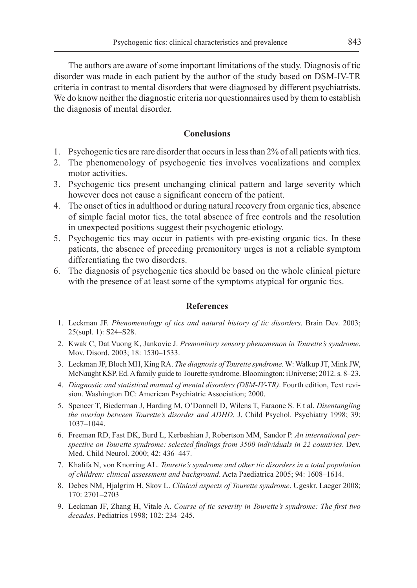The authors are aware of some important limitations of the study. Diagnosis of tic disorder was made in each patient by the author of the study based on DSM-IV-TR criteria in contrast to mental disorders that were diagnosed by different psychiatrists. We do know neither the diagnostic criteria nor questionnaires used by them to establish the diagnosis of mental disorder.

## **Conclusions**

- 1. Psychogenic tics are rare disorder that occurs in less than 2% of all patients with tics.
- 2. The phenomenology of psychogenic tics involves vocalizations and complex motor activities.
- 3. Psychogenic tics present unchanging clinical pattern and large severity which however does not cause a significant concern of the patient.
- 4. The onset of tics in adulthood or during natural recovery from organic tics, absence of simple facial motor tics, the total absence of free controls and the resolution in unexpected positions suggest their psychogenic etiology.
- 5. Psychogenic tics may occur in patients with pre-existing organic tics. In these patients, the absence of preceding premonitory urges is not a reliable symptom differentiating the two disorders.
- 6. The diagnosis of psychogenic tics should be based on the whole clinical picture with the presence of at least some of the symptoms atypical for organic tics.

## **References**

- 1. Leckman JF. *Phenomenology of tics and natural history of tic disorders*. Brain Dev. 2003; 25(supl. 1): S24–S28.
- 2. Kwak C, Dat Vuong K, Jankovic J. *Premonitory sensory phenomenon in Tourette's syndrome*. Mov. Disord. 2003; 18: 1530–1533.
- 3. Leckman JF, Bloch MH, King RA. *The diagnosis of Tourette syndrome*. W: Walkup JT, Mink JW, McNaught KSP. Ed. A family guide to Tourette syndrome. Bloomington: iUniverse; 2012. s. 8–23.
- 4. *Diagnostic and statistical manual of mental disorders (DSM-IV-TR)*. Fourth edition, Text revision. Washington DC: American Psychiatric Association; 2000.
- 5. Spencer T, Biederman J, Harding M, O'Donnell D, Wilens T, Faraone S. E t al. *Disentangling the overlap between Tourette's disorder and ADHD*. J. Child Psychol. Psychiatry 1998; 39: 1037–1044.
- 6. Freeman RD, Fast DK, Burd L, Kerbeshian J, Robertson MM, Sandor P. *An international perspective on Tourette syndrome: selected findings from 3500 individuals in 22 countries*. Dev. Med. Child Neurol. 2000; 42: 436–447.
- 7. Khalifa N, von Knorring AL. *Tourette's syndrome and other tic disorders in a total population of children: clinical assessment and background*. Acta Paediatrica 2005; 94: 1608–1614.
- 8. Debes NM, Hjalgrim H, Skov L. *Clinical aspects of Tourette syndrome*. Ugeskr. Laeger 2008; 170: 2701–2703
- 9. Leckman JF, Zhang H, Vitale A. *Course of tic severity in Tourette's syndrome: The first two decades*. Pediatrics 1998; 102: 234–245.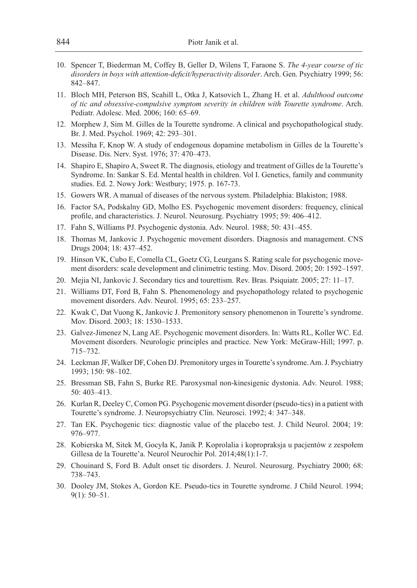- 10. Spencer T, Biederman M, Coffey B, Geller D, Wilens T, Faraone S. *The 4-year course of tic disorders in boys with attention-deficit/hyperactivity disorder*. Arch. Gen. Psychiatry 1999; 56: 842–847.
- 11. Bloch MH, Peterson BS, Scahill L, Otka J, Katsovich L, Zhang H. et al. *Adulthood outcome of tic and obsessive-compulsive symptom severity in children with Tourette syndrome*. Arch. Pediatr. Adolesc. Med. 2006; 160: 65–69.
- 12. Morphew J, Sim M. Gilles de la Tourette syndrome. A clinical and psychopathological study. Br. J. Med. Psychol. 1969; 42: 293–301.
- 13. Messiha F, Knop W. A study of endogenous dopamine metabolism in Gilles de la Tourette's Disease. Dis. Nerv. Syst. 1976; 37: 470–473.
- 14. Shapiro E, Shapiro A, Sweet R. The diagnosis, etiology and treatment of Gilles de la Tourette's Syndrome. In: Sankar S. Ed. Mental health in children. Vol I. Genetics, family and community studies. Ed. 2. Nowy Jork: Westbury; 1975. p. 167-73.
- 15. Gowers WR. A manual of diseases of the nervous system. Philadelphia: Blakiston; 1988.
- 16. Factor SA, Podskalny GD, Molho ES. Psychogenic movement disorders: frequency, clinical profile, and characteristics. J. Neurol. Neurosurg. Psychiatry 1995; 59: 406–412.
- 17. Fahn S, Williams PJ. Psychogenic dystonia. Adv. Neurol. 1988; 50: 431–455.
- 18. Thomas M, Jankovic J. Psychogenic movement disorders. Diagnosis and management. CNS Drugs 2004; 18: 437–452.
- 19. Hinson VK, Cubo E, Comella CL, Goetz CG, Leurgans S. Rating scale for psychogenic movement disorders: scale development and clinimetric testing. Mov. Disord. 2005; 20: 1592–1597.
- 20. Mejia NI, Jankovic J. Secondary tics and tourettism. Rev. Bras. Psiquiatr. 2005; 27: 11–17.
- 21. Williams DT, Ford B, Fahn S. Phenomenology and psychopathology related to psychogenic movement disorders. Adv. Neurol. 1995; 65: 233–257.
- 22. Kwak C, Dat Vuong K, Jankovic J. Premonitory sensory phenomenon in Tourette's syndrome. Mov. Disord. 2003; 18: 1530–1533.
- 23. Galvez-Jimenez N, Lang AE. Psychogenic movement disorders. In: Watts RL, Koller WC. Ed. Movement disorders. Neurologic principles and practice. New York: McGraw-Hill; 1997. p. 715–732.
- 24. Leckman JF, Walker DF, Cohen DJ. Premonitory urges in Tourette's syndrome. Am. J. Psychiatry 1993; 150: 98–102.
- 25. Bressman SB, Fahn S, Burke RE. Paroxysmal non-kinesigenic dystonia. Adv. Neurol. 1988; 50: 403–413.
- 26. Kurlan R, Deeley C, Comon PG. Psychogenic movement disorder (pseudo-tics) in a patient with Tourette's syndrome. J. Neuropsychiatry Clin. Neurosci. 1992; 4: 347–348.
- 27. Tan EK. Psychogenic tics: diagnostic value of the placebo test. J. Child Neurol. 2004; 19: 976–977.
- 28. Kobierska M, Sitek M, Gocyła K, Janik P. Koprolalia i kopropraksja u pacjentów z zespołem Gillesa de la Tourette'a. Neurol Neurochir Pol. 2014;48(1):1-7.
- 29. Chouinard S, Ford B. Adult onset tic disorders. J. Neurol. Neurosurg. Psychiatry 2000; 68: 738–743.
- 30. Dooley JM, Stokes A, Gordon KE. Pseudo-tics in Tourette syndrome. J Child Neurol. 1994; 9(1): 50–51.